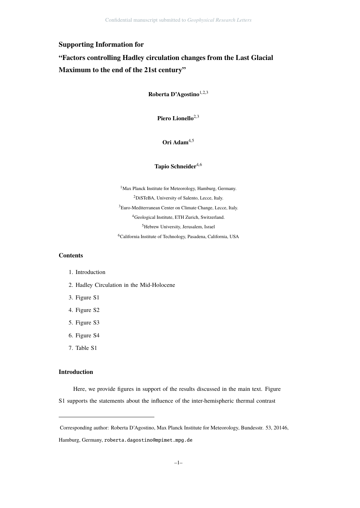## **Supporting Information for**

# **"Factors controlling Hadley circulation changes from the Last Glacial Maximum to the end of the 21st century"**

**Roberta D'Agostino**1,2,<sup>3</sup>

Piero Lionello<sup>2,3</sup>

### **Ori Adam**4,<sup>5</sup>

#### **Tapio Schneider**4,<sup>6</sup>

<sup>1</sup>Max Planck Institute for Meteorology, Hamburg, Germany. DiSTeBA, University of Salento, Lecce, Italy. Euro-Mediterranean Center on Climate Change, Lecce, Italy. Geological Institute, ETH Zurich, Switzerland. Hebrew University, Jerusalem, Israel California Institute of Technology, Pasadena, California, USA

#### **Contents**

- 1. Introduction
- 2. Hadley Circulation in the Mid-Holocene
- 3. Figure S1
- 4. Figure S2
- 5. Figure S3
- 6. Figure S4
- 7. Table S1

#### **Introduction**

Here, we provide figures in support of the results discussed in the main text. Figure S1 supports the statements about the influence of the inter-hemispheric thermal contrast

Corresponding author: Roberta D'Agostino, Max Planck Institute for Meteorology, Bundesstr. 53, 20146, Hamburg, Germany, roberta.dagostino@mpimet.mpg.de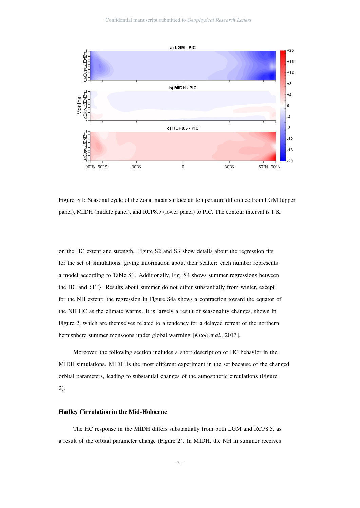

Figure S1: Seasonal cycle of the zonal mean surface air temperature difference from LGM (upper panel), MIDH (middle panel), and RCP8.5 (lower panel) to PIC. The contour interval is 1 K.

on the HC extent and strength. Figure S2 and S3 show details about the regression fits for the set of simulations, giving information about their scatter: each number represents a model according to Table S1. Additionally, Fig. S4 shows summer regressions between the HC and  $\langle TT \rangle$ . Results about summer do not differ substantially from winter, except for the NH extent: the regression in Figure S4a shows a contraction toward the equator of the NH HC as the climate warms. It is largely a result of seasonality changes, shown in Figure 2, which are themselves related to a tendency for a delayed retreat of the northern hemisphere summer monsoons under global warming [*Kitoh et al.*, 2013].

Moreover, the following section includes a short description of HC behavior in the MIDH simulations. MIDH is the most different experiment in the set because of the changed orbital parameters, leading to substantial changes of the atmospheric circulations (Figure 2).

#### **Hadley Circulation in the Mid-Holocene**

The HC response in the MIDH differs substantially from both LGM and RCP8.5, as a result of the orbital parameter change (Figure 2). In MIDH, the NH in summer receives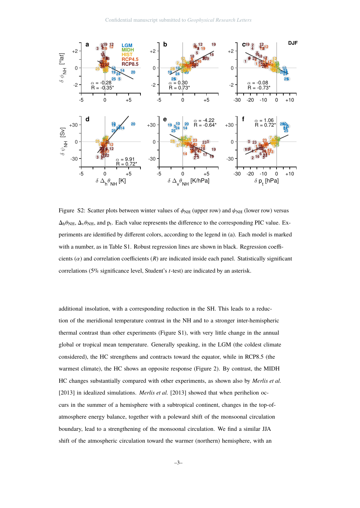

Figure S2: Scatter plots between winter values of  $\phi_{NH}$  (upper row) and  $\psi_{NH}$  (lower row) versus  $\Delta_h \theta_{\text{NH}}$ ,  $\Delta_v \theta_{\text{NH}}$ , and  $p_t$ . Each value represents the difference to the corresponding PIC value. Experiments are identified by different colors, according to the legend in (a). Each model is marked with a number, as in Table S1. Robust regression lines are shown in black. Regression coefficients  $(\alpha)$  and correlation coefficients  $(R)$  are indicated inside each panel. Statistically significant correlations (5% significance level, Student's *t*-test) are indicated by an asterisk.

additional insolation, with a corresponding reduction in the SH. This leads to a reduction of the meridional temperature contrast in the NH and to a stronger inter-hemispheric thermal contrast than other experiments (Figure S1), with very little change in the annual global or tropical mean temperature. Generally speaking, in the LGM (the coldest climate considered), the HC strengthens and contracts toward the equator, while in RCP8.5 (the warmest climate), the HC shows an opposite response (Figure 2). By contrast, the MIDH HC changes substantially compared with other experiments, as shown also by *Merlis et al.* [2013] in idealized simulations. *Merlis et al.* [2013] showed that when perihelion occurs in the summer of a hemisphere with a subtropical continent, changes in the top-ofatmosphere energy balance, together with a poleward shift of the monsoonal circulation boundary, lead to a strengthening of the monsoonal circulation. We find a similar JJA shift of the atmospheric circulation toward the warmer (northern) hemisphere, with an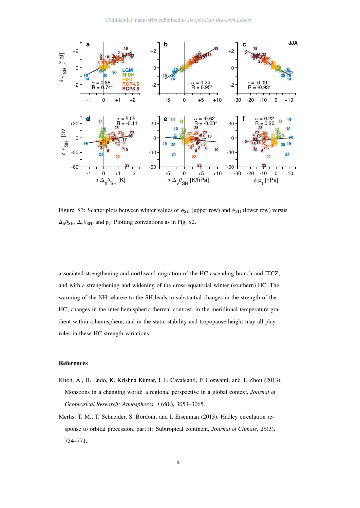

Figure S3: Scatter plots between winter values of  $\phi_{SH}$  (upper row) and  $\psi_{SH}$  (lower row) versus  $\Delta_h \theta_{\text{SH}}$ ,  $\Delta_v \theta_{\text{SH}}$ , and  $p_t$ . Plotting conventions as in Fig. S2.

associated strengthening and northward migration of the HC ascending branch and ITCZ, and with a strengthening and widening of the cross-equatorial winter (southern) HC. The warming of the NH relative to the SH leads to substantial changes in the strength of the HC; changes in the inter-hemispheric thermal contrast, in the meridional temperature gradient within a hemisphere, and in the static stability and tropopause height may all play roles in these HC strength variations.

#### **References**

- Kitoh, A., H. Endo, K. Krishna Kumar, I. F. Cavalcanti, P. Goswami, and T. Zhou (2013), Monsoons in a changing world: a regional perspective in a global context, *Journal of Geophysical Research: Atmospheres*, *118*(8), 3053–3065.
- Merlis, T. M., T. Schneider, S. Bordoni, and I. Eisenman (2013), Hadley circulation response to orbital precession. part ii: Subtropical continent, *Journal of Climate*, *26*(3), 754–771.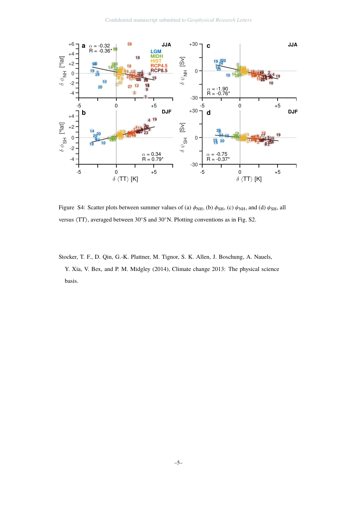

Figure S4: Scatter plots between summer values of (a)  $\phi_{NH}$ , (b)  $\phi_{SH}$ , (c)  $\psi_{NH}$ , and (d)  $\psi_{SH}$ , all versus  $\langle TT \rangle$ , averaged between 30°S and 30°N. Plotting conventions as in Fig. S2.

Stocker, T. F., D. Qin, G.-K. Plattner, M. Tignor, S. K. Allen, J. Boschung, A. Nauels, Y. Xia, V. Bex, and P. M. Midgley (2014), Climate change 2013: The physical science basis.